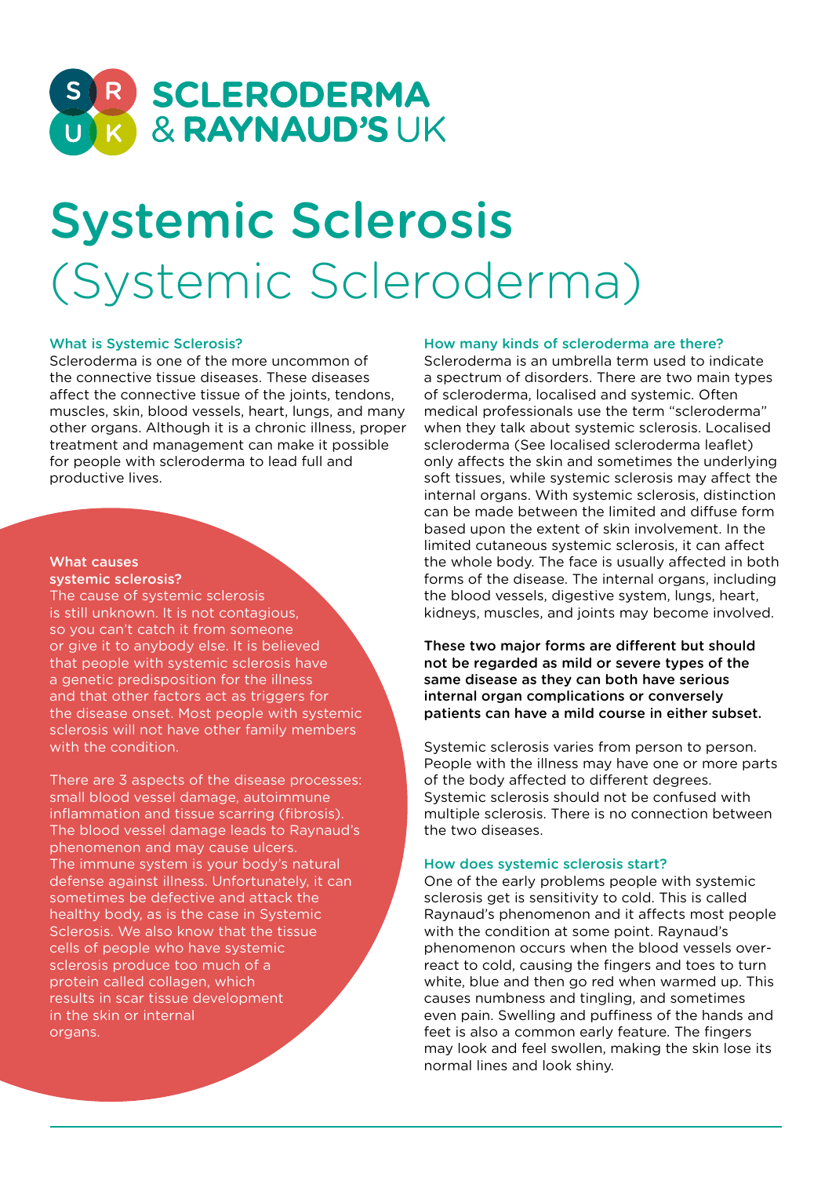

# Systemic Sclerosis (Systemic Scleroderma)

# What is Systemic Sclerosis?

Scleroderma is one of the more uncommon of the connective tissue diseases. These diseases affect the connective tissue of the joints, tendons, muscles, skin, blood vessels, heart, lungs, and many other organs. Although it is a chronic illness, proper treatment and management can make it possible for people with scleroderma to lead full and productive lives.

#### What causes systemic sclerosis?

The cause of systemic sclerosis is still unknown. It is not contagious, so you can't catch it from someone or give it to anybody else. It is believed that people with systemic sclerosis have a genetic predisposition for the illness and that other factors act as triggers for the disease onset. Most people with systemic sclerosis will not have other family members with the condition.

There are 3 aspects of the disease processes: small blood vessel damage, autoimmune inflammation and tissue scarring (fibrosis). The blood vessel damage leads to Raynaud's phenomenon and may cause ulcers. The immune system is your body's natural defense against illness. Unfortunately, it can sometimes be defective and attack the healthy body, as is the case in Systemic Sclerosis. We also know that the tissue cells of people who have systemic sclerosis produce too much of a protein called collagen, which results in scar tissue development in the skin or internal organs.

## How many kinds of scleroderma are there?

Scleroderma is an umbrella term used to indicate a spectrum of disorders. There are two main types of scleroderma, localised and systemic. Often medical professionals use the term "scleroderma" when they talk about systemic sclerosis. Localised scleroderma (See localised scleroderma leaflet) only affects the skin and sometimes the underlying soft tissues, while systemic sclerosis may affect the internal organs. With systemic sclerosis, distinction can be made between the limited and diffuse form based upon the extent of skin involvement. In the limited cutaneous systemic sclerosis, it can affect the whole body. The face is usually affected in both forms of the disease. The internal organs, including the blood vessels, digestive system, lungs, heart, kidneys, muscles, and joints may become involved.

These two major forms are different but should not be regarded as mild or severe types of the same disease as they can both have serious internal organ complications or conversely patients can have a mild course in either subset.

Systemic sclerosis varies from person to person. People with the illness may have one or more parts of the body affected to different degrees. Systemic sclerosis should not be confused with multiple sclerosis. There is no connection between the two diseases.

#### How does systemic sclerosis start?

One of the early problems people with systemic sclerosis get is sensitivity to cold. This is called Raynaud's phenomenon and it affects most people with the condition at some point. Raynaud's phenomenon occurs when the blood vessels overreact to cold, causing the fingers and toes to turn white, blue and then go red when warmed up. This causes numbness and tingling, and sometimes even pain. Swelling and puffiness of the hands and feet is also a common early feature. The fingers may look and feel swollen, making the skin lose its normal lines and look shiny.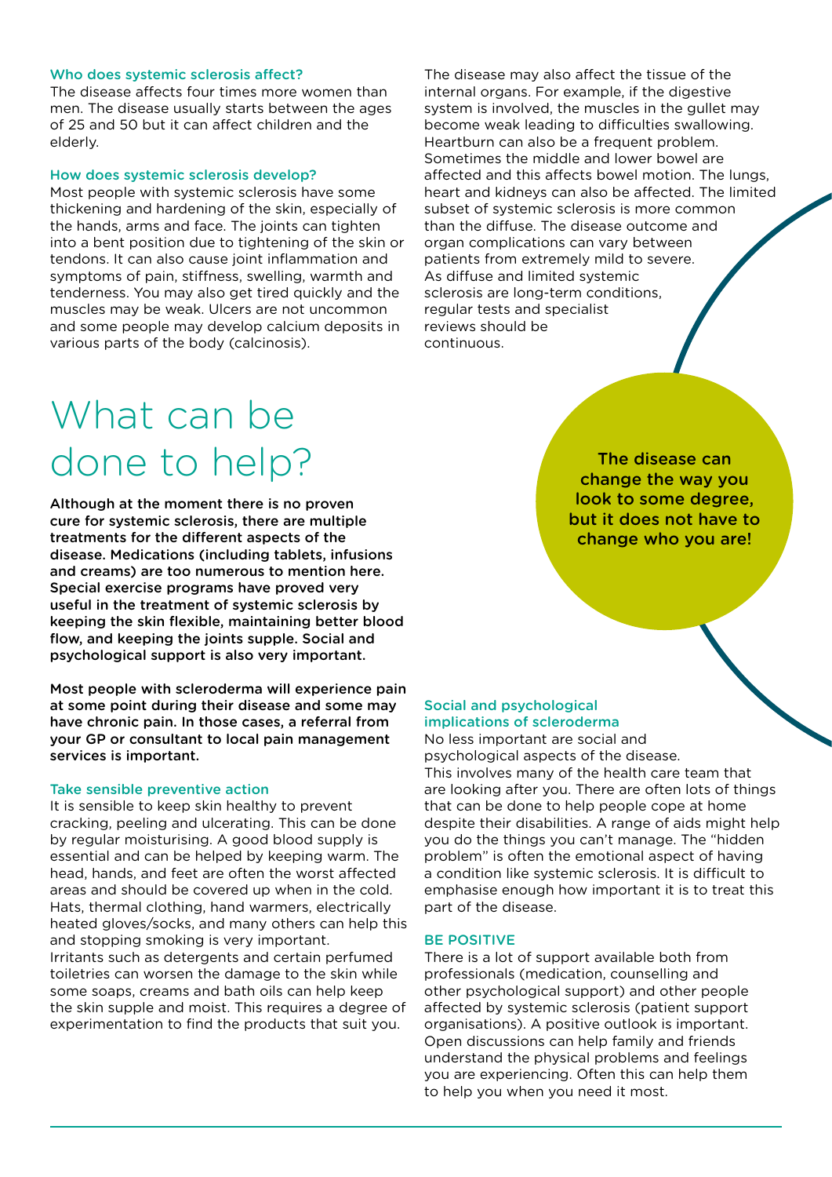#### Who does systemic sclerosis affect?

The disease affects four times more women than men. The disease usually starts between the ages of 25 and 50 but it can affect children and the elderly.

#### How does systemic sclerosis develop?

Most people with systemic sclerosis have some thickening and hardening of the skin, especially of the hands, arms and face. The joints can tighten into a bent position due to tightening of the skin or tendons. It can also cause joint inflammation and symptoms of pain, stiffness, swelling, warmth and tenderness. You may also get tired quickly and the muscles may be weak. Ulcers are not uncommon and some people may develop calcium deposits in various parts of the body (calcinosis).

The disease may also affect the tissue of the internal organs. For example, if the digestive system is involved, the muscles in the gullet may become weak leading to difficulties swallowing. Heartburn can also be a frequent problem. Sometimes the middle and lower bowel are affected and this affects bowel motion. The lungs, heart and kidneys can also be affected. The limited subset of systemic sclerosis is more common than the diffuse. The disease outcome and organ complications can vary between patients from extremely mild to severe. As diffuse and limited systemic sclerosis are long-term conditions, regular tests and specialist reviews should be continuous.

# What can be done to help?

Although at the moment there is no proven cure for systemic sclerosis, there are multiple treatments for the different aspects of the disease. Medications (including tablets, infusions and creams) are too numerous to mention here. Special exercise programs have proved very useful in the treatment of systemic sclerosis by keeping the skin flexible, maintaining better blood flow, and keeping the joints supple. Social and psychological support is also very important.

Most people with scleroderma will experience pain at some point during their disease and some may have chronic pain. In those cases, a referral from your GP or consultant to local pain management services is important.

#### Take sensible preventive action

It is sensible to keep skin healthy to prevent cracking, peeling and ulcerating. This can be done by regular moisturising. A good blood supply is essential and can be helped by keeping warm. The head, hands, and feet are often the worst affected areas and should be covered up when in the cold. Hats, thermal clothing, hand warmers, electrically heated gloves/socks, and many others can help this and stopping smoking is very important. Irritants such as detergents and certain perfumed toiletries can worsen the damage to the skin while some soaps, creams and bath oils can help keep the skin supple and moist. This requires a degree of experimentation to find the products that suit you.

The disease can change the way you look to some degree, but it does not have to change who you are!

# Social and psychological implications of scleroderma

No less important are social and psychological aspects of the disease. This involves many of the health care team that are looking after you. There are often lots of things that can be done to help people cope at home despite their disabilities. A range of aids might help you do the things you can't manage. The "hidden problem" is often the emotional aspect of having a condition like systemic sclerosis. It is difficult to emphasise enough how important it is to treat this part of the disease.

## BE POSITIVE

There is a lot of support available both from professionals (medication, counselling and other psychological support) and other people affected by systemic sclerosis (patient support organisations). A positive outlook is important. Open discussions can help family and friends understand the physical problems and feelings you are experiencing. Often this can help them to help you when you need it most.